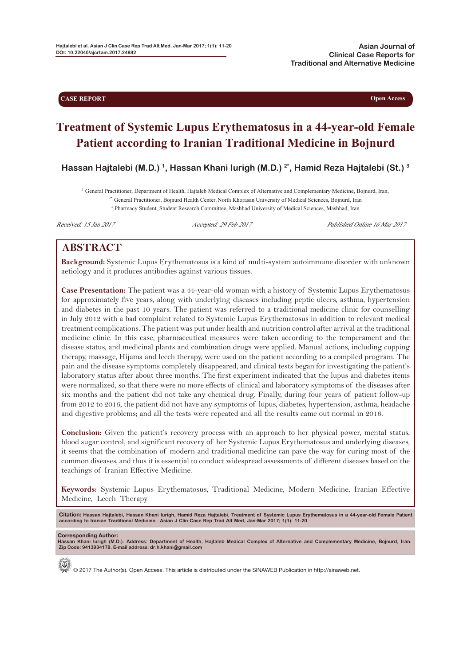**CASE REPORT Open Access** 

# **Treatment of Systemic Lupus Erythematosus in a 44-year-old Female Patient according to Iranian Traditional Medicine in Bojnurd**

**Hassan Hajtalebi (M.D.) 1, Hassan Khani Iurigh (M.D.) 2\* , Hamid Reza Hajtalebi (St.) 3**

<sup>1</sup> General Practitioner, Department of Health, Hajtaleb Medical Complex of Alternative and Complementary Medicine, Bojnurd, Iran, <sup>2\*</sup> General Practitioner, Bojnurd Health Center. North Khorasan University of Medical Scie <sup>3</sup> Pharmacy Student, Student Research Committee, Mashhad University of Medical Sciences, Mashhad, Iran

Received: 15 Jan 2017 Accepted: 29 Feb 2017 Published Online 16 Mar 2017

## **ABSTRACT**

**Background:** Systemic Lupus Erythematosus is a kind of multi-system autoimmune disorder with unknown aetiology and it produces antibodies against various tissues.

**Case Presentation:** The patient was a 44-year-old woman with a history of Systemic Lupus Erythematosus for approximately five years, along with underlying diseases including peptic ulcers, asthma, hypertension and diabetes in the past 10 years. The patient was referred to a traditional medicine clinic for counselling in July 2012 with a bad complaint related to Systemic Lupus Erythematosus in addition to relevant medical treatment complications. The patient was put under health and nutrition control after arrival at the traditional medicine clinic. In this case, pharmaceutical measures were taken according to the temperament and the disease status, and medicinal plants and combination drugs were applied. Manual actions, including cupping therapy, massage, Hijama and leech therapy, were used on the patient according to a compiled program. The pain and the disease symptoms completely disappeared, and clinical tests began for investigating the patient's laboratory status after about three months. The first experiment indicated that the lupus and diabetes items were normalized, so that there were no more effects of clinical and laboratory symptoms of the diseases after six months and the patient did not take any chemical drug. Finally, during four years of patient follow-up from 2012 to 2016, the patient did not have any symptoms of lupus, diabetes, hypertension, asthma, headache and digestive problems; and all the tests were repeated and all the results came out normal in 2016.

**Conclusion:** Given the patient's recovery process with an approach to her physical power, mental status, blood sugar control, and significant recovery of her Systemic Lupus Erythematosus and underlying diseases, it seems that the combination of modern and traditional medicine can pave the way for curing most of the common diseases, and thus it is essential to conduct widespread assessments of different diseases based on the teachings of Iranian Effective Medicine.

**Keywords:** Systemic Lupus Erythematosus, Traditional Medicine, Modern Medicine, Iranian Effective Medicine, Leech Therapy

Citation: Hassan Hajtalebi, Hassan Khani Iurigh, Hamid Reza Hajtalebi. Treatment of Systemic Lupus Erythematosus in a 44-year-old Female Patient<br>according to Iranian Traditional Medicine. Asian J Clin Case Rep Trad Alt Me

**Corresponding Author: Hassan Khani Iurigh (M.D.). Address: Department of Health, Hajtaleb Medical Complex of Alternative and Complementary Medicine, Bojnurd, Iran. Zip Code: 9413934178. E-mail address: dr.h.khani@gmail.com**



© 2017 The Author(s). Open Access. This article is distributed under the SINAWEB Publication in http://sinaweb.net.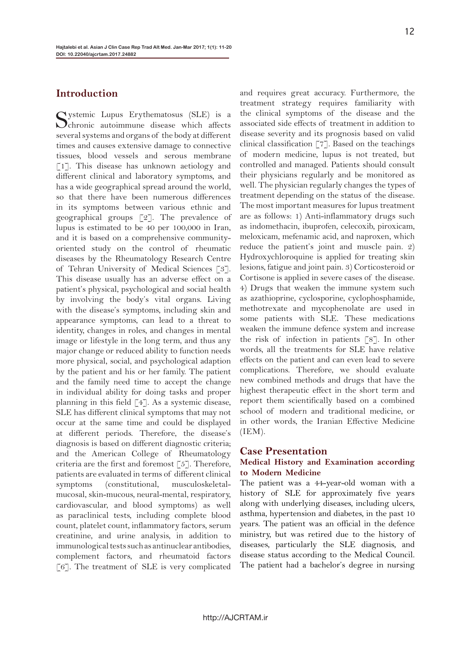## **Introduction**

Systemic Lupus Erythematosus (SLE) is a Schronic autoimnune disease which affects several systems and organs of the body at different times and causes extensive damage to connective tissues, blood vessels and serous membrane [1]. This disease has unknown aetiology and different clinical and laboratory symptoms, and has a wide geographical spread around the world, so that there have been numerous differences in its symptoms between various ethnic and geographical groups [2]. The prevalence of lupus is estimated to be 40 per 100,000 in Iran, and it is based on a comprehensive communityoriented study on the control of rheumatic diseases by the Rheumatology Research Centre of Tehran University of Medical Sciences [3]. This disease usually has an adverse effect on a patient's physical, psychological and social health by involving the body's vital organs. Living with the disease's symptoms, including skin and appearance symptoms, can lead to a threat to identity, changes in roles, and changes in mental image or lifestyle in the long term, and thus any major change or reduced ability to function needs more physical, social, and psychological adaption by the patient and his or her family. The patient and the family need time to accept the change in individual ability for doing tasks and proper planning in this field [4]. As a systemic disease, SLE has different clinical symptoms that may not occur at the same time and could be displayed at different periods. Therefore, the disease's diagnosis is based on different diagnostic criteria; and the American College of Rheumatology criteria are the first and foremost  $\lceil 5 \rceil$ . Therefore, patients are evaluated in terms of different clinical symptoms (constitutional, musculoskeletalmucosal, skin-mucous, neural-mental, respiratory, cardiovascular, and blood symptoms) as well as paraclinical tests, including complete blood count, platelet count, inflammatory factors, serum creatinine, and urine analysis, in addition to immunological tests such as antinuclear antibodies, complement factors, and rheumatoid factors [6]. The treatment of SLE is very complicated

and requires great accuracy. Furthermore, the treatment strategy requires familiarity with the clinical symptoms of the disease and the associated side effects of treatment in addition to disease severity and its prognosis based on valid clinical classification [7]. Based on the teachings of modern medicine, lupus is not treated, but controlled and managed. Patients should consult their physicians regularly and be monitored as well. The physician regularly changes the types of treatment depending on the status of the disease. The most important measures for lupus treatment are as follows: 1) Anti-inflammatory drugs such as indomethacin, ibuprofen, celecoxib, piroxicam, meloxicam, mefenamic acid, and naproxen, which reduce the patient's joint and muscle pain. 2) Hydroxychloroquine is applied for treating skin lesions, fatigue and joint pain. 3) Corticosteroid or Cortisone is applied in severe cases of the disease. 4) Drugs that weaken the immune system such as azathioprine, cyclosporine, cyclophosphamide, methotrexate and mycophenolate are used in some patients with SLE. These medications weaken the immune defence system and increase the risk of infection in patients [8]. In other words, all the treatments for SLE have relative effects on the patient and can even lead to severe complications. Therefore, we should evaluate new combined methods and drugs that have the highest therapeutic effect in the short term and report them scientifically based on a combined school of modern and traditional medicine, or in other words, the Iranian Effective Medicine  $(IEM).$ 

#### **Case Presentation**

#### **Medical History and Examination according to Modern Medicine**

The patient was a 44-year-old woman with a history of SLE for approximately five years along with underlying diseases, including ulcers, asthma, hypertension and diabetes, in the past 10 years. The patient was an official in the defence ministry, but was retired due to the history of diseases, particularly the SLE diagnosis, and disease status according to the Medical Council. The patient had a bachelor's degree in nursing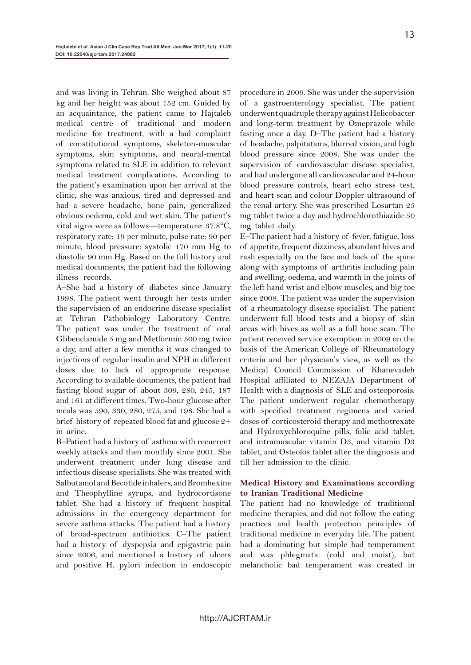and was living in Tehran. She weighed about 87 kg and her height was about 152 cm. Guided by an acquaintance, the patient came to Hajtaleb medical centre of traditional and modern medicine for treatment, with a bad complaint of constitutional symptoms, skeleton-muscular symptoms, skin symptoms, and neural-mental symptoms related to SLE in addition to relevant medical treatment complications. According to the patient's examination upon her arrival at the clinic, she was anxious, tired and depressed and had a severe headache, bone pain, generalized obvious oedema, cold and wet skin. The patient's vital signs were as follows—temperature: 37.8°C, respiratory rate: 19 per minute, pulse rate: 90 per minute, blood pressure: systolic 170 mm Hg to diastolic 90 mm Hg. Based on the full history and medical documents, the patient had the following illness records.

A–She had a history of diabetes since January 1998. The patient went through her tests under the supervision of an endocrine disease specialist at Tehran Pathobiology Laboratory Centre. The patient was under the treatment of oral Glibenclamide 5 mg and Metformin 500 mg twice a day, and after a few months it was changed to injections of regular insulin and NPH in different doses due to lack of appropriate response. According to available documents, the patient had fasting blood sugar of about 309, 280, 245, 187 and 161 at different times. Two-hour glucose after meals was 590, 330, 280, 275, and 198. She had a brief history of repeated blood fat and glucose 2+ in urine.

B–Patient had a history of asthma with recurrent weekly attacks and then monthly since 2001. She underwent treatment under lung disease and infectious disease specialists. She was treated with Salbutamol and Becotide inhalers, and Bromhexine and Theophylline syrups, and hydrocortisone tablet. She had a history of frequent hospital admissions in the emergency department for severe asthma attacks. The patient had a history of broad-spectrum antibiotics. C–The patient had a history of dyspepsia and epigastric pain since 2006, and mentioned a history of ulcers and positive H. pylori infection in endoscopic

procedure in 2009. She was under the supervision of a gastroenterology specialist. The patient underwent quadruple therapy against Helicobacter and long-term treatment by Omeprazole while fasting once a day. D–The patient had a history of headache, palpitations, blurred vision, and high blood pressure since 2008. She was under the supervision of cardiovascular disease specialist, and had undergone all cardiovascular and 24-hour blood pressure controls, heart echo stress test, and heart scan and colour Doppler ultrasound of the renal artery. She was prescribed Losartan 25 mg tablet twice a day and hydrochlorothiazide 50 mg tablet daily.

E–The patient had a history of fever, fatigue, loss of appetite, frequent dizziness, abundant hives and rash especially on the face and back of the spine along with symptoms of arthritis including pain and swelling, oedema, and warmth in the joints of the left hand wrist and elbow muscles, and big toe since 2008. The patient was under the supervision of a rheumatology disease specialist. The patient underwent full blood tests and a biopsy of skin areas with hives as well as a full bone scan. The patient received service exemption in 2009 on the basis of the American College of Rheumatology criteria and her physician's view, as well as the Medical Council Commission of Khanevadeh Hospital affiliated to NEZAJA Department of Health with a diagnosis of SLE and osteoporosis. The patient underwent regular chemotherapy with specified treatment regimens and varied doses of corticosteroid therapy and methotrexate and Hydroxychloroquine pills, folic acid tablet, and intramuscular vitamin D3, and vitamin D3 tablet, and Osteofos tablet after the diagnosis and till her admission to the clinic.

#### **Medical History and Examinations according to Iranian Traditional Medicine**

The patient had no knowledge of traditional medicine therapies, and did not follow the eating practices and health protection principles of traditional medicine in everyday life. The patient had a dominating but simple bad temperament and was phlegmatic (cold and moist), but melancholic bad temperament was created in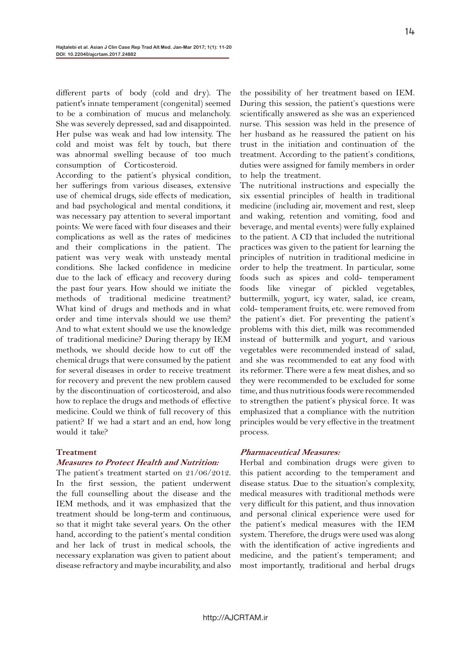different parts of body (cold and dry). The patient's innate temperament (congenital) seemed to be a combination of mucus and melancholy. She was severely depressed, sad and disappointed. Her pulse was weak and had low intensity. The cold and moist was felt by touch, but there was abnormal swelling because of too much consumption of Corticosteroid.

According to the patient's physical condition, her sufferings from various diseases, extensive use of chemical drugs, side effects of medication, and bad psychological and mental conditions, it was necessary pay attention to several important points: We were faced with four diseases and their complications as well as the rates of medicines and their complications in the patient. The patient was very weak with unsteady mental conditions. She lacked confidence in medicine due to the lack of efficacy and recovery during the past four years. How should we initiate the methods of traditional medicine treatment? What kind of drugs and methods and in what order and time intervals should we use them? And to what extent should we use the knowledge of traditional medicine? During therapy by IEM methods, we should decide how to cut off the chemical drugs that were consumed by the patient for several diseases in order to receive treatment for recovery and prevent the new problem caused by the discontinuation of corticosteroid, and also how to replace the drugs and methods of effective medicine. Could we think of full recovery of this patient? If we had a start and an end, how long would it take?

#### **Treatment**

#### **Measures to Protect Health and Nutrition:**

The patient's treatment started on 21/06/2012. In the first session, the patient underwent the full counselling about the disease and the IEM methods, and it was emphasized that the treatment should be long-term and continuous, so that it might take several years. On the other hand, according to the patient's mental condition and her lack of trust in medical schools, the necessary explanation was given to patient about disease refractory and maybe incurability, and also

the possibility of her treatment based on IEM. During this session, the patient's questions were scientifically answered as she was an experienced nurse. This session was held in the presence of her husband as he reassured the patient on his trust in the initiation and continuation of the treatment. According to the patient's conditions, duties were assigned for family members in order to help the treatment.

The nutritional instructions and especially the six essential principles of health in traditional medicine (including air, movement and rest, sleep and waking, retention and vomiting, food and beverage, and mental events) were fully explained to the patient. A CD that included the nutritional practices was given to the patient for learning the principles of nutrition in traditional medicine in order to help the treatment. In particular, some foods such as spices and cold- temperament foods like vinegar of pickled vegetables, buttermilk, yogurt, icy water, salad, ice cream, cold- temperament fruits, etc. were removed from the patient's diet. For preventing the patient's problems with this diet, milk was recommended instead of buttermilk and yogurt, and various vegetables were recommended instead of salad, and she was recommended to eat any food with its reformer. There were a few meat dishes, and so they were recommended to be excluded for some time, and thus nutritious foods were recommended to strengthen the patient's physical force. It was emphasized that a compliance with the nutrition principles would be very effective in the treatment process.

#### **Pharmaceutical Measures:**

Herbal and combination drugs were given to this patient according to the temperament and disease status. Due to the situation's complexity, medical measures with traditional methods were very difficult for this patient, and thus innovation and personal clinical experience were used for the patient's medical measures with the IEM system. Therefore, the drugs were used was along with the identification of active ingredients and medicine, and the patient's temperament; and most importantly, traditional and herbal drugs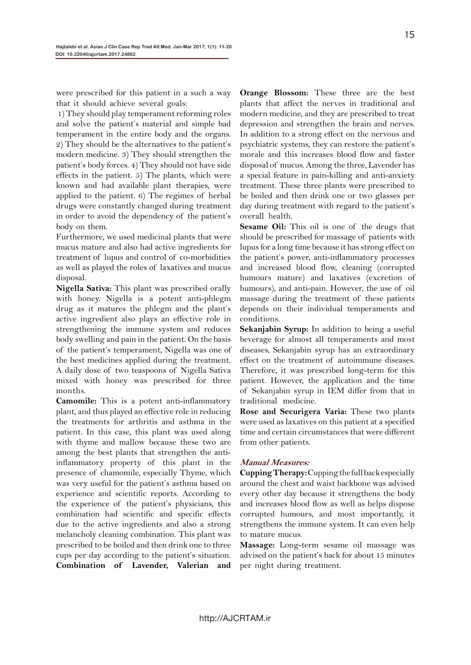were prescribed for this patient in a such a way that it should achieve several goals:

 1) They should play temperament reforming roles and solve the patient's material and simple bad temperament in the entire body and the organs. 2) They should be the alternatives to the patient's modern medicine. 3) They should strengthen the patient's body forces. 4) They should not have side effects in the patient. 5) The plants, which were known and had available plant therapies, were applied to the patient. 6) The regimes of herbal drugs were constantly changed during treatment in order to avoid the dependency of the patient's body on them.

Furthermore, we used medicinal plants that were mucus mature and also had active ingredients for treatment of lupus and control of co-morbidities as well as played the roles of laxatives and mucus disposal.

**Nigella Sativa:** This plant was prescribed orally with honey. Nigella is a potent anti-phlegm drug as it matures the phlegm and the plant's active ingredient also plays an effective role in strengthening the immune system and reduces body swelling and pain in the patient. On the basis of the patient's temperament, Nigella was one of the best medicines applied during the treatment. A daily dose of two teaspoons of Nigella Sativa mixed with honey was prescribed for three months.

**Camomile:** This is a potent anti-inflammatory plant, and thus played an effective role in reducing the treatments for arthritis and asthma in the patient. In this case, this plant was used along with thyme and mallow because these two are among the best plants that strengthen the antiinflammatory property of this plant in the presence of chamomile, especially Thyme, which was very useful for the patient's asthma based on experience and scientific reports. According to the experience of the patient's physicians, this combination had scientific and specific effects due to the active ingredients and also a strong melancholy cleaning combination. This plant was prescribed to be boiled and then drink one to three cups per day according to the patient's situation. **Combination of Lavender, Valerian and** 

**Orange Blossom:** These three are the best plants that affect the nerves in traditional and modern medicine, and they are prescribed to treat depression and strengthen the brain and nerves. In addition to a strong effect on the nervous and psychiatric systems, they can restore the patient's morale and this increases blood flow and faster disposal of mucus. Among the three, Lavender has a special feature in pain-killing and anti-anxiety treatment. These three plants were prescribed to be boiled and then drink one or two glasses per day during treatment with regard to the patient's overall health.

**Sesame Oil:** This oil is one of the drugs that should be prescribed for massage of patients with lupus for a long time because it has strong effect on the patient's power, anti-inflammatory processes and increased blood flow, cleaning (corrupted humours mature) and laxatives (excretion of humours), and anti-pain. However, the use of oil massage during the treatment of these patients depends on their individual temperaments and conditions.

**Sekanjabin Syrup:** In addition to being a useful beverage for almost all temperaments and most diseases, Sekanjabin syrup has an extraordinary effect on the treatment of autoimmune diseases. Therefore, it was prescribed long-term for this patient. However, the application and the time of Sekanjabin syrup in IEM differ from that in traditional medicine.

**Rose and Securigera Varia:** These two plants were used as laxatives on this patient at a specified time and certain circumstances that were different from other patients.

#### **Manual Measures:**

**Cupping Therapy:** Cupping the full back especially around the chest and waist backbone was advised every other day because it strengthens the body and increases blood flow as well as helps dispose corrupted humours, and most importantly, it strengthens the immune system. It can even help to mature mucus.

**Massage:** Long-term sesame oil massage was advised on the patient's back for about 15 minutes per night during treatment.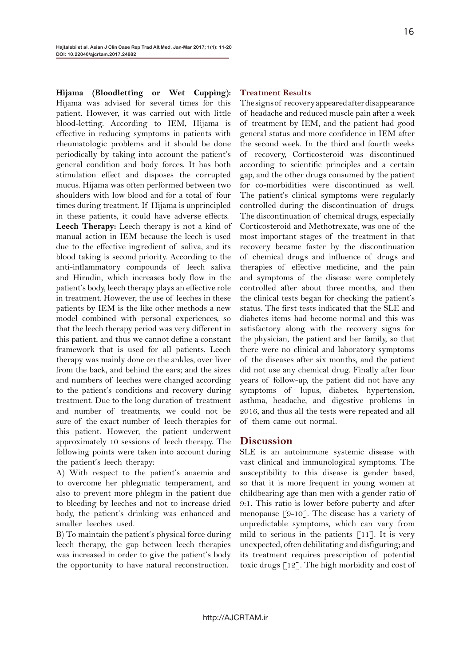**Hijama (Bloodletting or Wet Cupping):** Hijama was advised for several times for this patient. However, it was carried out with little blood-letting. According to IEM, Hijama is effective in reducing symptoms in patients with rheumatologic problems and it should be done periodically by taking into account the patient's general condition and body forces. It has both stimulation effect and disposes the corrupted mucus. Hijama was often performed between two shoulders with low blood and for a total of four times during treatment. If Hijama is unprincipled in these patients, it could have adverse effects. **Leech Therapy:** Leech therapy is not a kind of manual action in IEM because the leech is used due to the effective ingredient of saliva, and its blood taking is second priority. According to the anti-inflammatory compounds of leech saliva and Hirudin, which increases body flow in the patient's body, leech therapy plays an effective role in treatment. However, the use of leeches in these patients by IEM is the like other methods a new model combined with personal experiences, so that the leech therapy period was very different in this patient, and thus we cannot define a constant framework that is used for all patients. Leech therapy was mainly done on the ankles, over liver from the back, and behind the ears; and the sizes and numbers of leeches were changed according to the patient's conditions and recovery during treatment. Due to the long duration of treatment and number of treatments, we could not be sure of the exact number of leech therapies for this patient. However, the patient underwent approximately 10 sessions of leech therapy. The following points were taken into account during the patient's leech therapy:

A) With respect to the patient's anaemia and to overcome her phlegmatic temperament, and also to prevent more phlegm in the patient due to bleeding by leeches and not to increase dried body, the patient's drinking was enhanced and smaller leeches used.

B) To maintain the patient's physical force during leech therapy, the gap between leech therapies was increased in order to give the patient's body the opportunity to have natural reconstruction.

#### **Treatment Results**

The signs of recovery appeared after disappearance of headache and reduced muscle pain after a week of treatment by IEM, and the patient had good general status and more confidence in IEM after the second week. In the third and fourth weeks of recovery, Corticosteroid was discontinued according to scientific principles and a certain gap, and the other drugs consumed by the patient for co-morbidities were discontinued as well. The patient's clinical symptoms were regularly controlled during the discontinuation of drugs. The discontinuation of chemical drugs, especially Corticosteroid and Methotrexate, was one of the most important stages of the treatment in that recovery became faster by the discontinuation of chemical drugs and influence of drugs and therapies of effective medicine, and the pain and symptoms of the disease were completely controlled after about three months, and then the clinical tests began for checking the patient's status. The first tests indicated that the SLE and diabetes items had become normal and this was satisfactory along with the recovery signs for the physician, the patient and her family, so that there were no clinical and laboratory symptoms of the diseases after six months, and the patient did not use any chemical drug. Finally after four years of follow-up, the patient did not have any symptoms of lupus, diabetes, hypertension, asthma, headache, and digestive problems in 2016, and thus all the tests were repeated and all of them came out normal.

#### **Discussion**

SLE is an autoimmune systemic disease with vast clinical and immunological symptoms. The susceptibility to this disease is gender based, so that it is more frequent in young women at childbearing age than men with a gender ratio of 9:1. This ratio is lower before puberty and after menopause [9-10]. The disease has a variety of unpredictable symptoms, which can vary from mild to serious in the patients [11]. It is very unexpected, often debilitating and disfiguring; and its treatment requires prescription of potential toxic drugs [12]. The high morbidity and cost of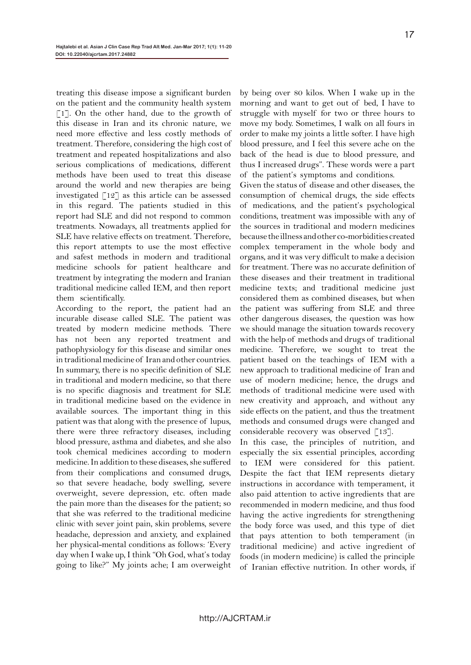treating this disease impose a significant burden on the patient and the community health system [1]. On the other hand, due to the growth of this disease in Iran and its chronic nature, we need more effective and less costly methods of treatment. Therefore, considering the high cost of treatment and repeated hospitalizations and also serious complications of medications, different methods have been used to treat this disease around the world and new therapies are being investigated  $\lceil 12 \rceil$  as this article can be assessed in this regard. The patients studied in this report had SLE and did not respond to common treatments. Nowadays, all treatments applied for SLE have relative effects on treatment. Therefore, this report attempts to use the most effective and safest methods in modern and traditional medicine schools for patient healthcare and treatment by integrating the modern and Iranian traditional medicine called IEM, and then report them scientifically.

According to the report, the patient had an incurable disease called SLE. The patient was treated by modern medicine methods. There has not been any reported treatment and pathophysiology for this disease and similar ones in traditional medicine of Iran and other countries. In summary, there is no specific definition of SLE in traditional and modern medicine, so that there is no specific diagnosis and treatment for SLE in traditional medicine based on the evidence in available sources. The important thing in this patient was that along with the presence of lupus, there were three refractory diseases, including blood pressure, asthma and diabetes, and she also took chemical medicines according to modern medicine. In addition to these diseases, she suffered from their complications and consumed drugs, so that severe headache, body swelling, severe overweight, severe depression, etc. often made the pain more than the diseases for the patient; so that she was referred to the traditional medicine clinic with sever joint pain, skin problems, severe headache, depression and anxiety, and explained her physical-mental conditions as follows: 'Every day when I wake up, I think "Oh God, what's today going to like?" My joints ache; I am overweight by being over 80 kilos. When I wake up in the morning and want to get out of bed, I have to struggle with myself for two or three hours to move my body. Sometimes, I walk on all fours in order to make my joints a little softer. I have high blood pressure, and I feel this severe ache on the back of the head is due to blood pressure, and thus I increased drugs". These words were a part of the patient's symptoms and conditions.

Given the status of disease and other diseases, the consumption of chemical drugs, the side effects of medications, and the patient's psychological conditions, treatment was impossible with any of the sources in traditional and modern medicines because the illness and other co-morbidities created complex temperament in the whole body and organs, and it was very difficult to make a decision for treatment. There was no accurate definition of these diseases and their treatment in traditional medicine texts; and traditional medicine just considered them as combined diseases, but when the patient was suffering from SLE and three other dangerous diseases, the question was how we should manage the situation towards recovery with the help of methods and drugs of traditional medicine. Therefore, we sought to treat the patient based on the teachings of IEM with a new approach to traditional medicine of Iran and use of modern medicine; hence, the drugs and methods of traditional medicine were used with new creativity and approach, and without any side effects on the patient, and thus the treatment methods and consumed drugs were changed and considerable recovery was observed [13].

In this case, the principles of nutrition, and especially the six essential principles, according to IEM were considered for this patient. Despite the fact that IEM represents dietary instructions in accordance with temperament, it also paid attention to active ingredients that are recommended in modern medicine, and thus food having the active ingredients for strengthening the body force was used, and this type of diet that pays attention to both temperament (in traditional medicine) and active ingredient of foods (in modern medicine) is called the principle of Iranian effective nutrition. In other words, if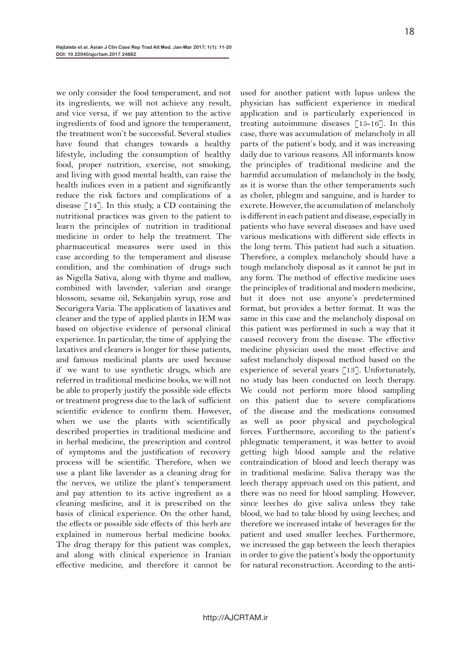we only consider the food temperament, and not its ingredients, we will not achieve any result, and vice versa, if we pay attention to the active ingredients of food and ignore the temperament, the treatment won't be successful. Several studies have found that changes towards a healthy lifestyle, including the consumption of healthy food, proper nutrition, exercise, not smoking, and living with good mental health, can raise the health indices even in a patient and significantly reduce the risk factors and complications of a disease  $\lceil 14 \rceil$ . In this study, a CD containing the nutritional practices was given to the patient to learn the principles of nutrition in traditional medicine in order to help the treatment. The pharmaceutical measures were used in this case according to the temperament and disease condition, and the combination of drugs such as Nigella Sativa, along with thyme and mallow, combined with lavender, valerian and orange blossom, sesame oil, Sekanjabin syrup, rose and Securigera Varia. The application of laxatives and cleaner and the type of applied plants in IEM was based on objective evidence of personal clinical experience. In particular, the time of applying the laxatives and cleaners is longer for these patients, and famous medicinal plants are used because if we want to use synthetic drugs, which are referred in traditional medicine books, we will not be able to properly justify the possible side effects or treatment progress due to the lack of sufficient scientific evidence to confirm them. However, when we use the plants with scientifically described properties in traditional medicine and in herbal medicine, the prescription and control of symptoms and the justification of recovery process will be scientific. Therefore, when we use a plant like lavender as a cleaning drug for the nerves, we utilize the plant's temperament and pay attention to its active ingredient as a cleaning medicine, and it is prescribed on the basis of clinical experience. On the other hand, the effects or possible side effects of this herb are explained in numerous herbal medicine books. The drug therapy for this patient was complex, and along with clinical experience in Iranian effective medicine, and therefore it cannot be

used for another patient with lupus unless the physician has sufficient experience in medical application and is particularly experienced in treating autoimmune diseases  $\lceil 15 - 16 \rceil$ . In this case, there was accumulation of melancholy in all parts of the patient's body, and it was increasing daily due to various reasons. All informants know the principles of traditional medicine and the harmful accumulation of melancholy in the body, as it is worse than the other temperaments such as choler, phlegm and sanguine, and is harder to excrete. However, the accumulation of melancholy is different in each patient and disease, especially in patients who have several diseases and have used various medications with different side effects in the long term. This patient had such a situation. Therefore, a complex melancholy should have a tough melancholy disposal as it cannot be put in any form. The method of effective medicine uses the principles of traditional and modern medicine, but it does not use anyone's predetermined format, but provides a better format. It was the same in this case and the melancholy disposal on this patient was performed in such a way that it caused recovery from the disease. The effective medicine physician used the most effective and safest melancholy disposal method based on the experience of several years  $\lceil 13 \rceil$ . Unfortunately, no study has been conducted on leech therapy. We could not perform more blood sampling on this patient due to severe complications of the disease and the medications consumed as well as poor physical and psychological forces. Furthermore, according to the patient's phlegmatic temperament, it was better to avoid getting high blood sample and the relative contraindication of blood and leech therapy was in traditional medicine. Saliva therapy was the leech therapy approach used on this patient, and there was no need for blood sampling. However, since leeches do give saliva unless they take blood, we had to take blood by using leeches; and therefore we increased intake of beverages for the patient and used smaller leeches. Furthermore, we increased the gap between the leech therapies in order to give the patient's body the opportunity for natural reconstruction. According to the anti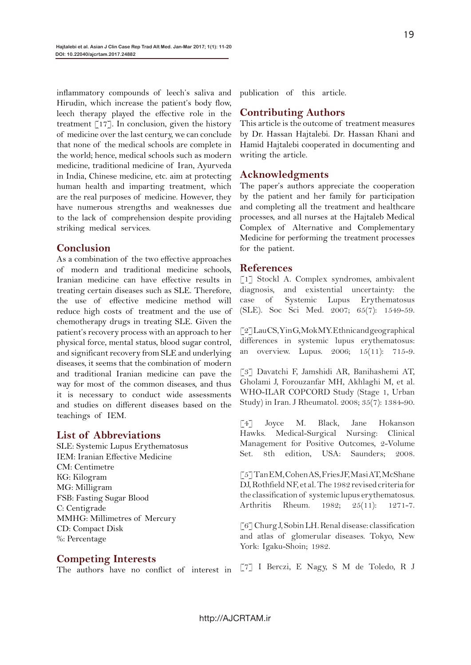inflammatory compounds of leech's saliva and Hirudin, which increase the patient's body flow, leech therapy played the effective role in the treatment  $\lceil 17 \rceil$ . In conclusion, given the history of medicine over the last century, we can conclude that none of the medical schools are complete in the world; hence, medical schools such as modern medicine, traditional medicine of Iran, Ayurveda in India, Chinese medicine, etc. aim at protecting human health and imparting treatment, which are the real purposes of medicine. However, they have numerous strengths and weaknesses due to the lack of comprehension despite providing striking medical services.

### **Conclusion**

As a combination of the two effective approaches of modern and traditional medicine schools, Iranian medicine can have effective results in treating certain diseases such as SLE. Therefore, the use of effective medicine method will reduce high costs of treatment and the use of chemotherapy drugs in treating SLE. Given the patient's recovery process with an approach to her physical force, mental status, blood sugar control, and significant recovery from SLE and underlying diseases, it seems that the combination of modern and traditional Iranian medicine can pave the way for most of the common diseases, and thus it is necessary to conduct wide assessments and studies on different diseases based on the teachings of IEM.

#### **List of Abbreviations**

SLE: Systemic Lupus Erythematosus IEM: Iranian Effective Medicine CM: Centimetre KG: Kilogram MG: Milligram FSB: Fasting Sugar Blood C: Centigrade MMHG: Millimetres of Mercury CD: Compact Disk %: Percentage

## **Competing Interests**

The authors have no conflict of interest in

publication of this article.

#### **Contributing Authors**

This article is the outcome of treatment measures by Dr. Hassan Hajtalebi. Dr. Hassan Khani and Hamid Hajtalebi cooperated in documenting and writing the article.

#### **Acknowledgments**

The paper's authors appreciate the cooperation by the patient and her family for participation and completing all the treatment and healthcare processes, and all nurses at the Hajtaleb Medical Complex of Alternative and Complementary Medicine for performing the treatment processes for the patient.

#### **References**

[1] Stockl A. Complex syndromes, ambivalent diagnosis, and existential uncertainty: the case of Systemic Lupus Erythematosus (SLE). Soc Sci Med. 2007; 65(7): 1549-59.

[2] Lau CS, Yin G, Mok MY. Ethnic and geographical differences in systemic lupus erythematosus: an overview. Lupus. 2006; 15(11): 715-9.

[3] Davatchi F, Jamshidi AR, Banihashemi AT, Gholami J, Forouzanfar MH, Akhlaghi M, et al. WHO-ILAR COPCORD Study (Stage 1, Urban Study) in Iran. J Rheumatol. 2008; 35(7): 1384-90.

[4] Joyce M. Black, Jane Hokanson Hawks. Medical-Surgical Nursing: Clinical Management for Positive Outcomes, 2-Volume Set. 8th edition, USA: Saunders; 2008.

[5] Tan EM, Cohen AS, Fries JF, Masi AT, McShane DJ, Rothfield NF, et al. The 1982 revised criteria for the classification of systemic lupus erythematosus. Arthritis Rheum. 1982; 25(11): 1271-7.

[6] Churg J, Sobin LH. Renal disease: classification and atlas of glomerular diseases. Tokyo, New York: Igaku-Shoin; 1982.

[7] I Berczi, E Nagy, S M de Toledo, R J